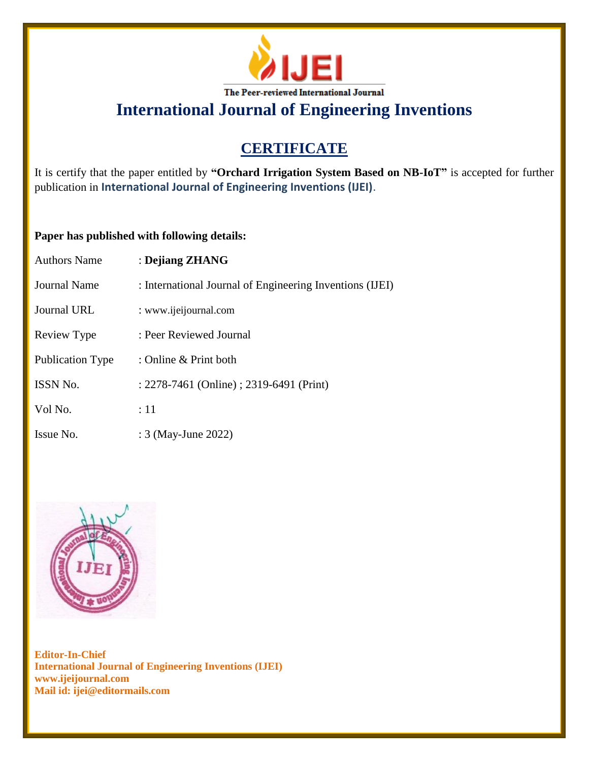

# **CERTIFICATE**

It is certify that the paper entitled by **"Orchard Irrigation System Based on NB-IoT"** is accepted for further publication in **International Journal of Engineering Inventions (IJEI)**.

### **Paper has published with following details:**

| <b>Authors Name</b>     | : Dejiang ZHANG                                          |
|-------------------------|----------------------------------------------------------|
| Journal Name            | : International Journal of Engineering Inventions (IJEI) |
| Journal URL             | : www.ijeijournal.com                                    |
| Review Type             | : Peer Reviewed Journal                                  |
| <b>Publication Type</b> | : Online & Print both                                    |
| ISSN No.                | : 2278-7461 (Online) ; 2319-6491 (Print)                 |
| Vol No.                 | :11                                                      |
| Issue No.               | : 3 (May-June 2022)                                      |

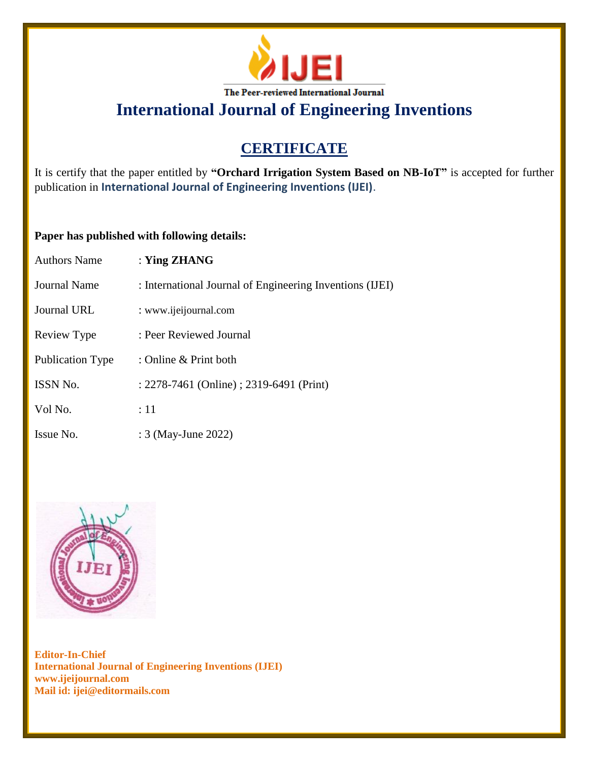

# **CERTIFICATE**

It is certify that the paper entitled by **"Orchard Irrigation System Based on NB-IoT"** is accepted for further publication in **International Journal of Engineering Inventions (IJEI)**.

### **Paper has published with following details:**

| <b>Authors Name</b> | : Ying $ZHANG$                                           |
|---------------------|----------------------------------------------------------|
| <b>Journal Name</b> | : International Journal of Engineering Inventions (IJEI) |
| Journal URL         | : www.ijeijournal.com                                    |
| Review Type         | : Peer Reviewed Journal                                  |
| Publication Type    | : Online & Print both                                    |
| ISSN No.            | : 2278-7461 (Online) ; 2319-6491 (Print)                 |
| Vol No.             | :11                                                      |
| Issue No.           | : 3 (May-June 2022)                                      |

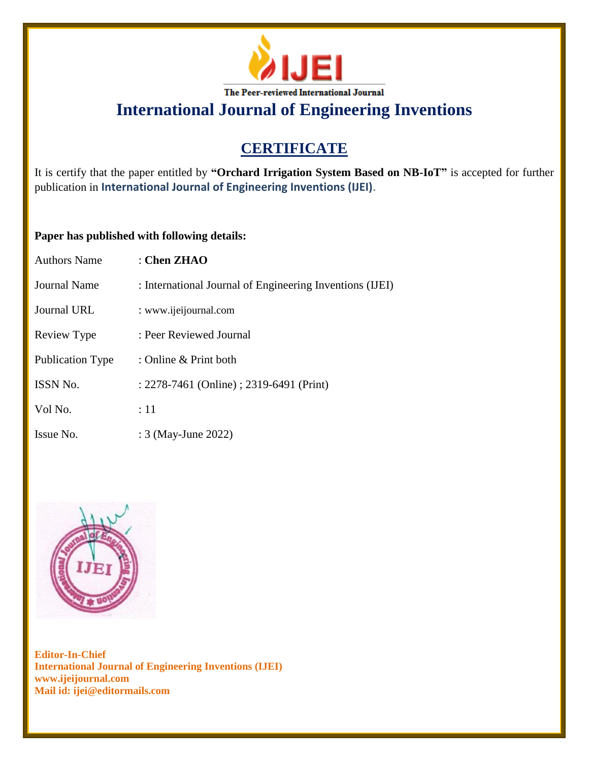

# **CERTIFICATE**

It is certify that the paper entitled by **"Orchard Irrigation System Based on NB-IoT"** is accepted for further publication in **International Journal of Engineering Inventions (IJEI)**.

### **Paper has published with following details:**

| <b>Authors Name</b> | : Chen $ZHAO$                                            |
|---------------------|----------------------------------------------------------|
| <b>Journal Name</b> | : International Journal of Engineering Inventions (IJEI) |
| Journal URL         | : www.ijeijournal.com                                    |
| Review Type         | : Peer Reviewed Journal                                  |
| Publication Type    | : Online & Print both                                    |
| ISSN No.            | : 2278-7461 (Online) ; 2319-6491 (Print)                 |
| Vol No.             | :11                                                      |
| Issue No.           | : 3 (May-June 2022)                                      |

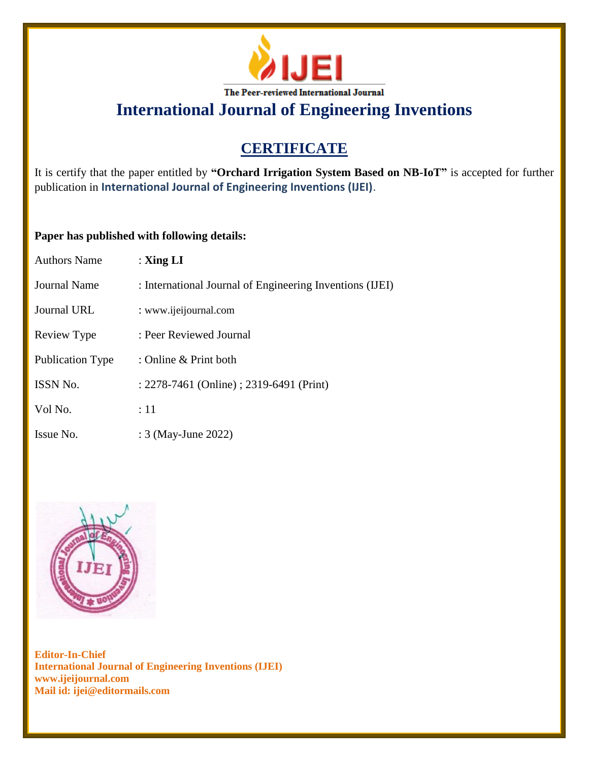

# **CERTIFICATE**

It is certify that the paper entitled by **"Orchard Irrigation System Based on NB-IoT"** is accepted for further publication in **International Journal of Engineering Inventions (IJEI)**.

### **Paper has published with following details:**

| <b>Authors Name</b>     | : $\mathbf{Xing} \mathbf{LI}$                            |
|-------------------------|----------------------------------------------------------|
| <b>Journal Name</b>     | : International Journal of Engineering Inventions (IJEI) |
| Journal URL             | : www.ijeijournal.com                                    |
| Review Type             | : Peer Reviewed Journal                                  |
| <b>Publication Type</b> | : Online & Print both                                    |
| ISSN No.                | : 2278-7461 (Online) ; 2319-6491 (Print)                 |
| Vol No.                 | :11                                                      |
| Issue No.               | : 3 (May-June 2022)                                      |